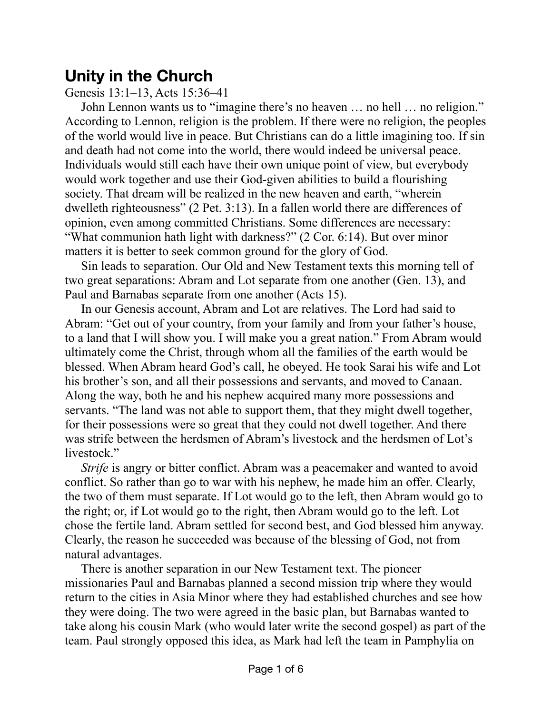## **Unity in the Church**

Genesis 13:1–13, Acts 15:36–41

John Lennon wants us to "imagine there's no heaven … no hell … no religion." According to Lennon, religion is the problem. If there were no religion, the peoples of the world would live in peace. But Christians can do a little imagining too. If sin and death had not come into the world, there would indeed be universal peace. Individuals would still each have their own unique point of view, but everybody would work together and use their God-given abilities to build a flourishing society. That dream will be realized in the new heaven and earth, "wherein dwelleth righteousness" (2 Pet. 3:13). In a fallen world there are differences of opinion, even among committed Christians. Some differences are necessary: "What communion hath light with darkness?" (2 Cor. 6:14). But over minor matters it is better to seek common ground for the glory of God.

Sin leads to separation. Our Old and New Testament texts this morning tell of two great separations: Abram and Lot separate from one another (Gen. 13), and Paul and Barnabas separate from one another (Acts 15).

In our Genesis account, Abram and Lot are relatives. The Lord had said to Abram: "Get out of your country, from your family and from your father's house, to a land that I will show you. I will make you a great nation." From Abram would ultimately come the Christ, through whom all the families of the earth would be blessed. When Abram heard God's call, he obeyed. He took Sarai his wife and Lot his brother's son, and all their possessions and servants, and moved to Canaan. Along the way, both he and his nephew acquired many more possessions and servants. "The land was not able to support them, that they might dwell together, for their possessions were so great that they could not dwell together. And there was strife between the herdsmen of Abram's livestock and the herdsmen of Lot's livestock."

*Strife* is angry or bitter conflict. Abram was a peacemaker and wanted to avoid conflict. So rather than go to war with his nephew, he made him an offer. Clearly, the two of them must separate. If Lot would go to the left, then Abram would go to the right; or, if Lot would go to the right, then Abram would go to the left. Lot chose the fertile land. Abram settled for second best, and God blessed him anyway. Clearly, the reason he succeeded was because of the blessing of God, not from natural advantages.

There is another separation in our New Testament text. The pioneer missionaries Paul and Barnabas planned a second mission trip where they would return to the cities in Asia Minor where they had established churches and see how they were doing. The two were agreed in the basic plan, but Barnabas wanted to take along his cousin Mark (who would later write the second gospel) as part of the team. Paul strongly opposed this idea, as Mark had left the team in Pamphylia on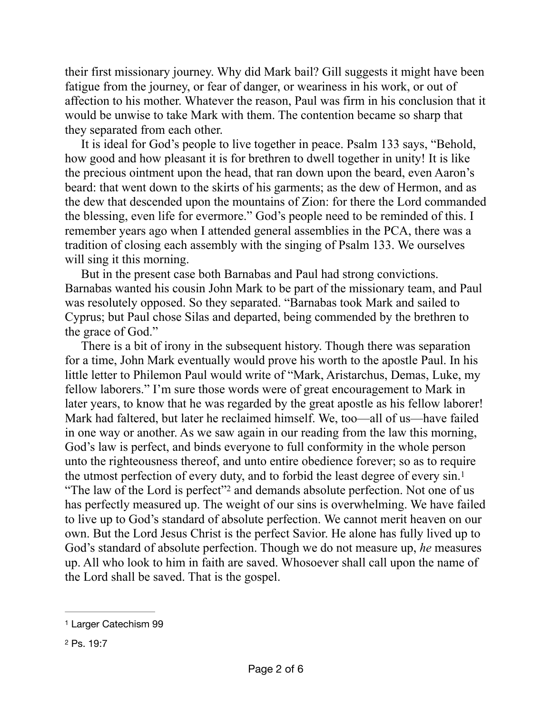their first missionary journey. Why did Mark bail? Gill suggests it might have been fatigue from the journey, or fear of danger, or weariness in his work, or out of affection to his mother. Whatever the reason, Paul was firm in his conclusion that it would be unwise to take Mark with them. The contention became so sharp that they separated from each other.

It is ideal for God's people to live together in peace. Psalm 133 says, "Behold, how good and how pleasant it is for brethren to dwell together in unity! It is like the precious ointment upon the head, that ran down upon the beard, even Aaron's beard: that went down to the skirts of his garments; as the dew of Hermon, and as the dew that descended upon the mountains of Zion: for there the Lord commanded the blessing, even life for evermore." God's people need to be reminded of this. I remember years ago when I attended general assemblies in the PCA, there was a tradition of closing each assembly with the singing of Psalm 133. We ourselves will sing it this morning.

But in the present case both Barnabas and Paul had strong convictions. Barnabas wanted his cousin John Mark to be part of the missionary team, and Paul was resolutely opposed. So they separated. "Barnabas took Mark and sailed to Cyprus; but Paul chose Silas and departed, being commended by the brethren to the grace of God."

<span id="page-1-2"></span>There is a bit of irony in the subsequent history. Though there was separation for a time, John Mark eventually would prove his worth to the apostle Paul. In his little letter to Philemon Paul would write of "Mark, Aristarchus, Demas, Luke, my fellow laborers." I'm sure those words were of great encouragement to Mark in later years, to know that he was regarded by the great apostle as his fellow laborer! Mark had faltered, but later he reclaimed himself. We, too—all of us—have failed in one way or another. As we saw again in our reading from the law this morning, God's law is perfect, and binds everyone to full conformity in the whole person unto the righteousness thereof, and unto entire obedience forever; so as to require the utmost perfection of every duty, and to forbid the least degree of every sin[.1](#page-1-0) "The law of the Lord is perfect"<sup>[2](#page-1-1)</sup> and demands absolute perfection. Not one of us has perfectly measured up. The weight of our sins is overwhelming. We have failed to live up to God's standard of absolute perfection. We cannot merit heaven on our own. But the Lord Jesus Christ is the perfect Savior. He alone has fully lived up to God's standard of absolute perfection. Though we do not measure up, *he* measures up. All who look to him in faith are saved. Whosoever shall call upon the name of the Lord shall be saved. That is the gospel.

<span id="page-1-3"></span><span id="page-1-0"></span>[<sup>1</sup>](#page-1-2) Larger Catechism 99

<span id="page-1-1"></span>[<sup>2</sup>](#page-1-3) Ps. 19:7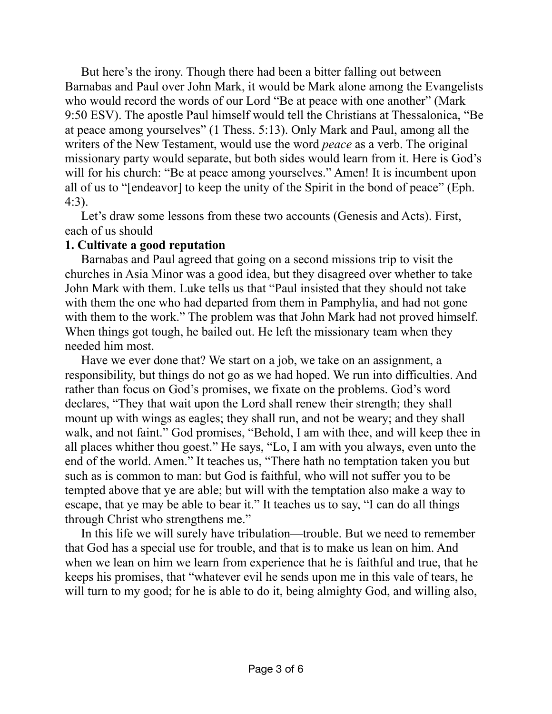But here's the irony. Though there had been a bitter falling out between Barnabas and Paul over John Mark, it would be Mark alone among the Evangelists who would record the words of our Lord "Be at peace with one another" (Mark 9:50 ESV). The apostle Paul himself would tell the Christians at Thessalonica, "Be at peace among yourselves" (1 Thess. 5:13). Only Mark and Paul, among all the writers of the New Testament, would use the word *peace* as a verb. The original missionary party would separate, but both sides would learn from it. Here is God's will for his church: "Be at peace among yourselves." Amen! It is incumbent upon all of us to "[endeavor] to keep the unity of the Spirit in the bond of peace" (Eph. 4:3).

Let's draw some lessons from these two accounts (Genesis and Acts). First, each of us should

## **1. Cultivate a good reputation**

Barnabas and Paul agreed that going on a second missions trip to visit the churches in Asia Minor was a good idea, but they disagreed over whether to take John Mark with them. Luke tells us that "Paul insisted that they should not take with them the one who had departed from them in Pamphylia, and had not gone with them to the work." The problem was that John Mark had not proved himself. When things got tough, he bailed out. He left the missionary team when they needed him most.

Have we ever done that? We start on a job, we take on an assignment, a responsibility, but things do not go as we had hoped. We run into difficulties. And rather than focus on God's promises, we fixate on the problems. God's word declares, "They that wait upon the Lord shall renew their strength; they shall mount up with wings as eagles; they shall run, and not be weary; and they shall walk, and not faint." God promises, "Behold, I am with thee, and will keep thee in all places whither thou goest." He says, "Lo, I am with you always, even unto the end of the world. Amen." It teaches us, "There hath no temptation taken you but such as is common to man: but God is faithful, who will not suffer you to be tempted above that ye are able; but will with the temptation also make a way to escape, that ye may be able to bear it." It teaches us to say, "I can do all things through Christ who strengthens me."

In this life we will surely have tribulation—trouble. But we need to remember that God has a special use for trouble, and that is to make us lean on him. And when we lean on him we learn from experience that he is faithful and true, that he keeps his promises, that "whatever evil he sends upon me in this vale of tears, he will turn to my good; for he is able to do it, being almighty God, and willing also,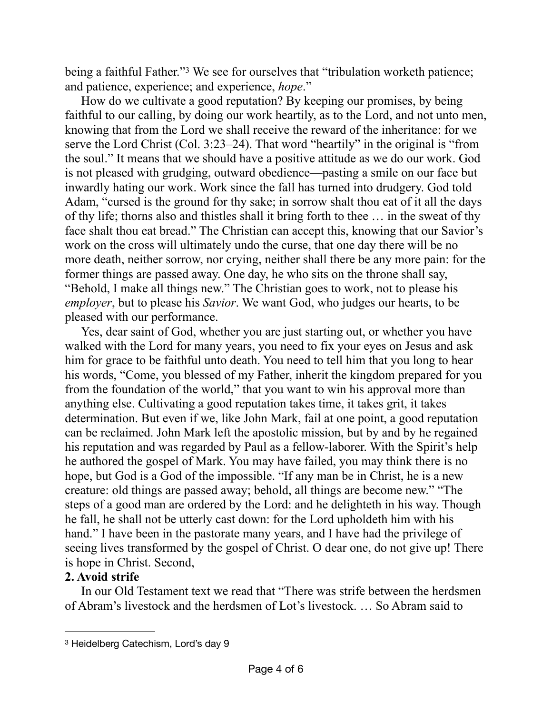<span id="page-3-1"></span>being a faithful Father."<sup>[3](#page-3-0)</sup> We see for ourselves that "tribulation worketh patience; and patience, experience; and experience, *hope*."

How do we cultivate a good reputation? By keeping our promises, by being faithful to our calling, by doing our work heartily, as to the Lord, and not unto men, knowing that from the Lord we shall receive the reward of the inheritance: for we serve the Lord Christ (Col. 3:23–24). That word "heartily" in the original is "from the soul." It means that we should have a positive attitude as we do our work. God is not pleased with grudging, outward obedience—pasting a smile on our face but inwardly hating our work. Work since the fall has turned into drudgery. God told Adam, "cursed is the ground for thy sake; in sorrow shalt thou eat of it all the days of thy life; thorns also and thistles shall it bring forth to thee … in the sweat of thy face shalt thou eat bread." The Christian can accept this, knowing that our Savior's work on the cross will ultimately undo the curse, that one day there will be no more death, neither sorrow, nor crying, neither shall there be any more pain: for the former things are passed away. One day, he who sits on the throne shall say, "Behold, I make all things new." The Christian goes to work, not to please his *employer*, but to please his *Savior*. We want God, who judges our hearts, to be pleased with our performance.

Yes, dear saint of God, whether you are just starting out, or whether you have walked with the Lord for many years, you need to fix your eyes on Jesus and ask him for grace to be faithful unto death. You need to tell him that you long to hear his words, "Come, you blessed of my Father, inherit the kingdom prepared for you from the foundation of the world," that you want to win his approval more than anything else. Cultivating a good reputation takes time, it takes grit, it takes determination. But even if we, like John Mark, fail at one point, a good reputation can be reclaimed. John Mark left the apostolic mission, but by and by he regained his reputation and was regarded by Paul as a fellow-laborer. With the Spirit's help he authored the gospel of Mark. You may have failed, you may think there is no hope, but God is a God of the impossible. "If any man be in Christ, he is a new creature: old things are passed away; behold, all things are become new." "The steps of a good man are ordered by the Lord: and he delighteth in his way. Though he fall, he shall not be utterly cast down: for the Lord upholdeth him with his hand." I have been in the pastorate many years, and I have had the privilege of seeing lives transformed by the gospel of Christ. O dear one, do not give up! There is hope in Christ. Second,

## **2. Avoid strife**

In our Old Testament text we read that "There was strife between the herdsmen of Abram's livestock and the herdsmen of Lot's livestock. … So Abram said to

<span id="page-3-0"></span>[<sup>3</sup>](#page-3-1) Heidelberg Catechism, Lord's day 9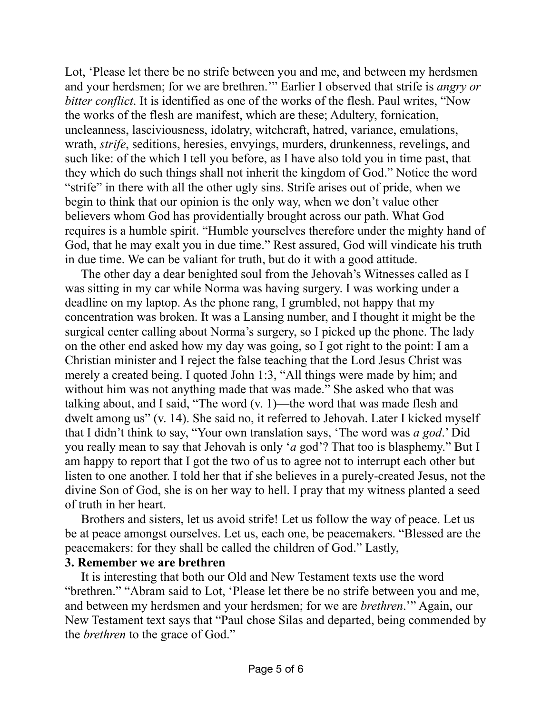Lot, 'Please let there be no strife between you and me, and between my herdsmen and your herdsmen; for we are brethren.'" Earlier I observed that strife is *angry or bitter conflict*. It is identified as one of the works of the flesh. Paul writes, "Now the works of the flesh are manifest, which are these; Adultery, fornication, uncleanness, lasciviousness, idolatry, witchcraft, hatred, variance, emulations, wrath, *strife*, seditions, heresies, envyings, murders, drunkenness, revelings, and such like: of the which I tell you before, as I have also told you in time past, that they which do such things shall not inherit the kingdom of God." Notice the word "strife" in there with all the other ugly sins. Strife arises out of pride, when we begin to think that our opinion is the only way, when we don't value other believers whom God has providentially brought across our path. What God requires is a humble spirit. "Humble yourselves therefore under the mighty hand of God, that he may exalt you in due time." Rest assured, God will vindicate his truth in due time. We can be valiant for truth, but do it with a good attitude.

The other day a dear benighted soul from the Jehovah's Witnesses called as I was sitting in my car while Norma was having surgery. I was working under a deadline on my laptop. As the phone rang, I grumbled, not happy that my concentration was broken. It was a Lansing number, and I thought it might be the surgical center calling about Norma's surgery, so I picked up the phone. The lady on the other end asked how my day was going, so I got right to the point: I am a Christian minister and I reject the false teaching that the Lord Jesus Christ was merely a created being. I quoted John 1:3, "All things were made by him; and without him was not anything made that was made." She asked who that was talking about, and I said, "The word (v. 1)—the word that was made flesh and dwelt among us" (v. 14). She said no, it referred to Jehovah. Later I kicked myself that I didn't think to say, "Your own translation says, 'The word was *a god*.' Did you really mean to say that Jehovah is only '*a* god'? That too is blasphemy." But I am happy to report that I got the two of us to agree not to interrupt each other but listen to one another. I told her that if she believes in a purely-created Jesus, not the divine Son of God, she is on her way to hell. I pray that my witness planted a seed of truth in her heart.

Brothers and sisters, let us avoid strife! Let us follow the way of peace. Let us be at peace amongst ourselves. Let us, each one, be peacemakers. "Blessed are the peacemakers: for they shall be called the children of God." Lastly,

## **3. Remember we are brethren**

It is interesting that both our Old and New Testament texts use the word "brethren." "Abram said to Lot, 'Please let there be no strife between you and me, and between my herdsmen and your herdsmen; for we are *brethren*.'" Again, our New Testament text says that "Paul chose Silas and departed, being commended by the *brethren* to the grace of God."